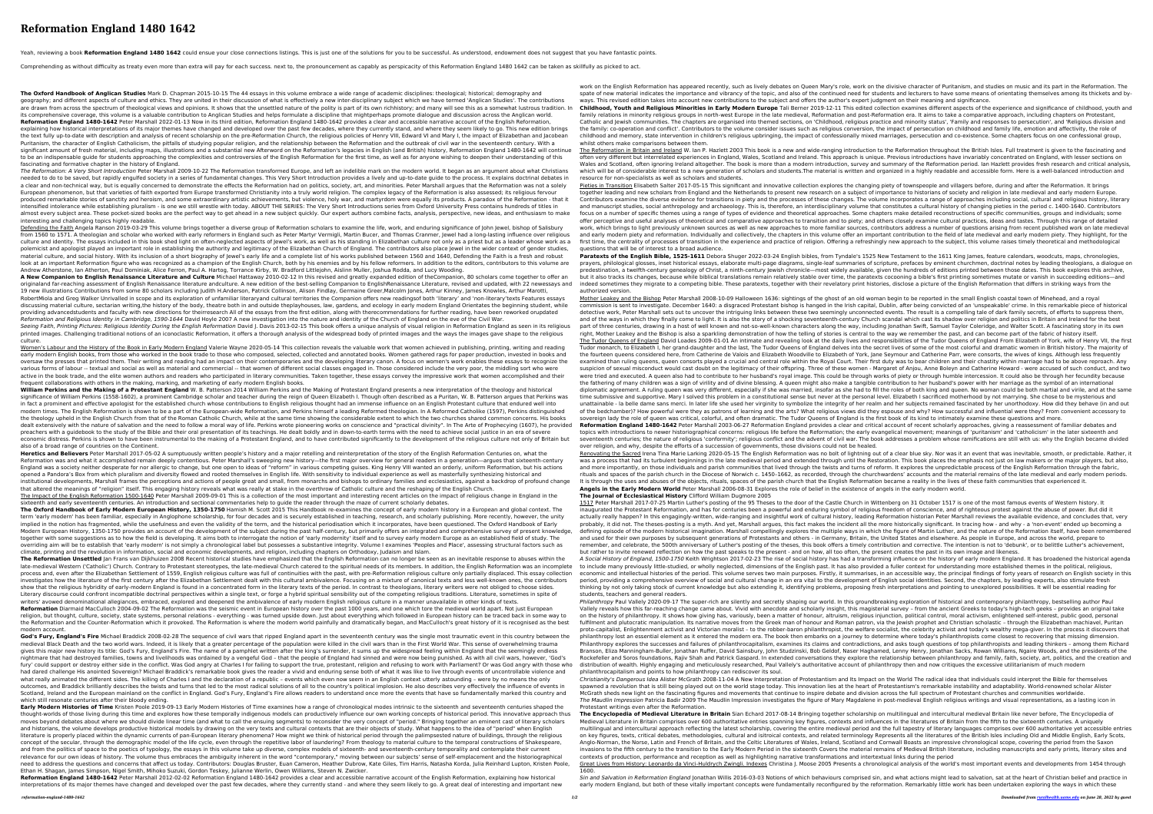## **Reformation England 1480 1642**

Yeah, reviewing a book Reformation England 1480 1642 could ensue your close connections listings. This is just one of the solutions for you to be successful. As understood, endowment does not suggest that you have fantasti

Comprehending as without difficulty as treaty even more than extra will pay for each success. next to, the pronouncement as capably as perspicacity of this Reformation England 1480 1642 can be taken as skillfully as picked

The Reformation: A Very Short Introduction Peter Marshall 2009-10-22 The Reformation transformed Europe, and left an indelible mark on the modern world. It began as an argument about what Christians needed to do to be saved, but rapidly engulfed society in a series of fundamental changes. This Very Short Introduction provides a lively and up-to-date guide to the process. It explains doctrinal debates in a clear and non-technical way, but is equally concerned to demonstrate the effects the Reformation had on politics, society, art, and minorities. Peter Marshall argues that the Reformation was not a solely European phenomenon, but that varieties of faith exported from Europe transformed Christianity into a truly world religion. The complex legacy of the Reformation is also assessed; its religious fervour produced remarkable stories of sanctity and heroism, and some extraordinary artistic achievements, but violence, holy war, and martyrdom were equally its products. A paradox of the Reformation - that it intensified intolerance while establishing pluralism - is one we still wrestle with today. ABOUT THE SERIES: The Very Short Introductions series from Oxford University Press contains hundreds of titles in almost every subject area. These pocket-sized books are the perfect way to get ahead in a new subject quickly. Our expert authors combine facts, analysis, perspective, new ideas, and enthusiasm to make interesting and challenging topics highly readable.

Defending the Faith Angela Ranson 2019-03-29 This volume brings together a diverse group of Reformation scholars to examine the life, work, and enduring significance of John Jewel, bishop of Salisbury from 1560 to 1571. A theologian and scholar who worked with early reformers in England such as Peter Martyr Vermigli, Martin Bucer, and Thomas Cranmer, Jewel had a long-lasting influence over religious culture and identity. The essays included in this book shed light on often-neglected aspects of Jewel's work, as well as his standing in Elizabethan culture not only as a priest but as a leader whose work as a polemicist and apologist played an important role in establishing the authority and legitimacy of the Elizabethan Church of England. The contributors also place Jewel in the wider context of gender studies, material culture, and social history. With its inclusion of a short biography of Jewel's early life and a complete list of his works published between 1560 and 1640, Defending the Faith is a fresh and robust look at an important Reformation figure who was recognized as a champion of the English Church, both by his enemies and by his fellow reformers. In addition to the editors, contributors to this volume are Andrew Atherstone, Ian Atherton, Paul Dominiak, Alice Ferron, Paul A. Hartog, Torrance Kirby, W. Bradford Littlejohn, Aislinn Muller, Joshua Rodda, and Lucy Wooding. **A New Companion to English Renaissance Literature and Culture** Michael Hattaway 2010-02-12 In this revised and greatly expanded edition of theCompanion, 80 scholars come together to offer an originaland far-reaching assessment of English Renaissance literature andculture. A new edition of the best-selling Companion to EnglishRenaissance Literature, revised and updated, with 22 newessays and 19 new illustrations Contributions from some 80 scholars including Judith H.Anderson, Patrick Collinson, Alison Findlay, Germaine Greer,Malcolm Jones, Arthur Kinney, James Knowles, Arthur Marotti, RobertMiola and Greg Walker Unrivalled in scope and its exploration of unfamiliar literaryand cultural territories the Companion offers new readingsof both 'literary' and 'non-literary'texts Features essays discussing material culture, sectarian writing,the history of the body, theatre both in and outside theplayhouses, law, gardens, and ecology in early modern England Orientates the beginning student, while providing advancedstudents and faculty with new directions for theirresearch All of the essays from the first edition, along with therecommendations for further reading, have been reworked orupdated Reformation and Religious Identity in Cambridge, 1590-1644 David Hoyle 2007 A new investigation into the nature and identity of the Church of England on the eve of the Civil War. Seeing Faith, Printing Pictures: Religious Identity During the English Reformation David J. Davis 2013-02-15 This book offers a unique analysis of visual religion in Reformation England as seen in its religious printed images. Challenging traditional notions of an iconoclastic Reformation, it offers a thorough analysis of the widespread body of printed images and the ways the images gave shape to the religious culture. work, which brings to light previously unknown sources as well as new approaches to more familiar sources, contributors address a number of questions arising from recent published work on late medieval and early modern piety and reformation. Individually and collectively, the chapters in this volume offer an important contribution to the field of late medieval and early modern piety. They highlight, for the first time, the centrality of processes of transition in the experience and practice of religion. Offering a refreshingly new approach to the subject, this volume raises timely theoretical and methodological questions that will be of interest to a broad audience. Paratexts of the English Bible, 1525-1611 Debora Shuger 2022-03-24 English bibles, from Tyndale's 1525 New Testament to the 1611 King James, feature calendars, woodcuts, maps, chronologies, prayers, philological glosses, inset historical essays, elaborate multi-page diagrams, single-leaf summaries of scripture, prefaces by eminent churchmen, doctrinal notes by leading theologians, a dialogue on predestination, a twelfth-century genealogy of Christ, a ninth-century Jewish chronicle—most widely available, given the hundreds of editions printed between those dates. This book explores this archive, but it also tracks its changes, because while biblical translations remain relatively stable over time, the paratexts cocooning a bible's first printing sometimes mutate or vanish in succeeding editions—and indeed sometimes they migrate to a competing bible. These paratexts, together with their revelatory print histories, disclose a picture of the English Reformation that differs in striking ways from the authorized version. Mother Leakey and the Bishop Peter Marshall 2008-10-09 Halloween 1636: sightings of the ghost of an old woman begin to be reported in the small English coastal town of Minehead, and a royal commission is sent to investigate. December 1640: a disgraced Protestant bishop is hanged in the Irish capital, Dublin, after being convicted of an 'unspeakable' crime. In this remarkable piece of historical detective work, Peter Marshall sets out to uncover the intriguing links between these two seemingly unconnected events. The result is a compelling tale of dark family secrets, of efforts to suppress them, and of the ways in which they finally come to light. It is also the story of a shocking seventeenth-century Church scandal which cast its shadow over religion and politics in Britain and Ireland for the best part of three centuries, drawing in a host of well known and not-so-well-known characters along the way, including Jonathan Swift, Samuel Taylor Coleridge, and Walter Scott. A fascinating story in its own right, Mother Leakey and the Bishop is also a sparkling demonstration of how the telling of stories is central to the way we remember the past, and can become part of the fabric of history itself. The Tudor Queens of England David Loades 2009-01-01 An intimate and revealing look at the daily lives and responsibilities of the Tudor Queens of England From Elizabeth of York, wife of Henry VII, the first

Women's Labour and the History of the Book in Early Modern England Valerie Wayne 2020-05-14 This collection reveals the valuable work that women achieved in publishing, printing, writing and reading early modern English books, from those who worked in the book trade to those who composed, selected, collected and annotated books. Women gathered rags for paper production, invested in books and oversaw the presses that printed them. Their writing and reading had an impact on their contemporaries and the developing literary canon. A focus on women's work enables these essays to recognize the various forms of labour -- textual and social as well as material and commercial -- that women of different social classes engaged in. Those considered include the very poor, the middling sort who were active in the book trade, and the elite women authors and readers who participated in literary communities. Taken together, these essays convey the impressive work that women accomplished and their frequent collaborations with others in the making, marking, and marketing of early modern English books.

William Perkins and the Making of a Protestant England W. B. Patterson 2014 William Perkins and the Making of Protestant England presents a new interpretation of the theology and historical significance of William Perkins (1558-1602), a prominent Cambridge scholar and teacher during the reign of Queen Elizabeth I. Though often described as a Puritan, W. B. Patterson argues that Perkins was in fact a prominent and effective apologist for the established church whose contributions to English religious thought had an immense influence on an English Protestant culture that endured well into modern times. The English Reformation is shown to be a part of the European-wide Reformation, and Perkins himself a leading Reformed theologian. In A Reformed Catholike (1597), Perkins distinguished the theology upheld in the English Church from that of the Roman Catholic Church, while at the same time showing the considerable extent to which the two churches shared common concerns. His books dealt extensively with the nature of salvation and the need to follow a moral way of life. Perkins wrote pioneering works on conscience and "practical divinity". In The Arte of Prophecying (1607), he provided preachers with a guidebook to the study of the Bible and their oral presentation of its teachings. He dealt boldly and in down-to-earth terms with the need to achieve social justice in an era of severe economic distress. Perkins is shown to have been instrumental to the making of a Protestant England, and to have contributed significantly to the development of the religious culture not only of Britain but also of a broad range of countries on the Continent.

Heretics and Believers Peter Marshall 2017-05-02 A sumptuously written people's history and a major retelling and reinterpretation of the story of the English Reformation Centuries on, what the Reformation was and what it accomplished remain deeply contentious. Peter Marshall's sweeping new history—the first major overview for general readers in a generation—argues that sixteenth-century England was a society neither desperate for nor allergic to change, but one open to ideas of "reform" in various competing guises. King Henry VIII wanted an orderly, uniform Reformation, but his actions opened a Pandora's Box from which pluralism and diversity flowed and rooted themselves in English life. With sensitivity to individual experience as well as masterfully synthesizing historical and institutional developments, Marshall frames the perceptions and actions of people great and small, from monarchs and bishops to ordinary families and ecclesiastics, against a backdrop of profound change that altered the meanings of "religion" itself. This engaging history reveals what was really at stake in the overthrow of Catholic culture and the reshaping of the English Church. The Impact of the English Reformation 1500-1640 Peter Marshall 2009-09-01 This is a collection of the most important and interesting recent articles on the impact of religious change in England in the sixteenth and early seventeenth centuries. An introduction and sectional commentaries help to guide the reader through the maze of current scholarly debates. **The Oxford Handbook of Early Modern European History, 1350-1750** Hamish M. Scott 2015 This Handbook re-examines the concept of early modern history in a European and global context. The term 'early modern' has been familiar, especially in Anglophone scholarship, for four decades and is securely established in teaching, research, and scholarly publishing. More recently, however, the unity implied in the notion has fragmented, while the usefulness and even the validity of the term, and the historical periodisation which it incorporates, have been questioned. The Oxford Handbook of Early Modern European History, 1350-1750 provides an account of the development of the subject during the past half-century, but primarily offers an integrated and comprehensive survey of present knowledge, together with some suggestions as to how the field is developing. It aims both to interrogate the notion of 'early modernity' itself and to survey early modern Europe as an established field of study. The overriding aim will be to establish that 'early modern' is not simply a chronological label but possesses a substantive integrity. Volume I examines 'Peoples and Place', assessing structural factors such as climate, printing and the revolution in information, social and economic developments, and religion, including chapters on Orthodoxy, Judaism and Islam. The Reformation Unsettled Jan Frans van Dijkhuizen 2008 Recent historical studies have emphasized that the English Reformation can no longer be seen as an inevitable response to abuses within the late-medieval Western ('Catholic') Church. Contrary to Protestant stereotypes, the late-medieval Church catered to the spiritual needs of its members. In addition, the English Reformation was an incomplete process and, even after the Elizabethan Settlement of 1559, English religious culture was full of continuities with the past, with pre-Reformation religious culture only partially displaced. This essay collection investigates how the literature of the first century after the Elizabethan Settlement dealt with this cultural ambivalence. Focusing on a mixture of canonical texts and less well-known ones, the contributors show that the religious hybridity of early-modern England is found in a concentrated form in the literary texts of the period. In contrast to theologians, literary writers were not obliged to choose sides. Literary discourse could confront incompatible doctrinal perspectives within a single text, or forge a hybrid spiritual sensibility out of the competing religious traditions. Literature, sometimes in spite of Renovating the Sacred Irena Tina Marie Larking 2020-05-15 The English Reformation was no bolt of lightning out of a clear blue sky. Nor was it an event that was inevitable, smooth, or predictable. Rather, it was a process that had its turbulent beginnings in the late medieval period and extended through until the Restoration. This book places the emphasis not just on law makers or the major players, but also, and more importantly, on those individuals and parish communities that lived through the twists and turns of reform. It explores the unpredictable process of the English Reformation through the fabric, rituals and spaces of the parish church in the Diocese of Norwich c. 1450–1662, as recorded, through the churchwardens' accounts and the material remains of the late medieval and early modern periods. It is through the uses and abuses of the objects, rituals, spaces of the parish church that the English Reformation became a reality in the lives of these faith communities that experienced it. **Angels in the Early Modern World** Peter Marshall 2006-08-31 Explores the role of belief in the existence of angels in the early modern world. **The Journal of Ecclesiastical History** Clifford William Dugmore 2005 1517 Peter Marshall 2017-07-25 Martin Luther's posting of the 95 Theses to the door of the Castle Church in Wittenberg on 31 October 1517 is one of the most famous events of Western history. It inaugurated the Protestant Reformation, and has for centuries been a powerful and enduring symbol of religious freedom of conscience, and of righteous protest against the abuse of power. But did it actually really happen? In this engagingly-written, wide-ranging and insightful work of cultural history, leading Reformation historian Peter Marshall reviews the available evidence, and concludes that, very probably, it did not. The theses-posting is a myth. And yet, Marshall argues, this fact makes the incident all the more historically significant. In tracing how - and why - a 'non-event' ended up becoming a defining episode of the modern historical imagination. Marshall compellingly explores the multiple ways in which the figure of Martin Luther, and the nature of the Reformation itself, have been remembered and used for their own purposes by subsequent generations of Protestants and others - in Germany, Britain, the United States and elsewhere. As people in Europe, and across the world, prepare to remember, and celebrate, the 500th anniversary of Luther's posting of the theses, this book offers a timely contribution and corrective. The intention is not to 'debunk', or to belittle Luther's achievement but rather to invite renewed reflection on how the past speaks to the present - and on how, all too often, the present creates the past in its own image and likeness. A Social History of England, 1500-1750 Keith Wrightson 2017-02-23 The rise of social history has had a transforming influence on the history of early modern England. It has broadened the historical agenda to include many previously little-studied, or wholly neglected, dimensions of the English past. It has also provided a fuller context for understanding more established themes in the political, religious, economic and intellectual histories of the period. This volume serves two main purposes. Firstly, it summarises, in an accessible way, the principal findings of forty years of research on English society in this period, providing a comprehensive overview of social and cultural change in an era vital to the development of English social identities. Second, the chapters, by leading experts, also stimulate fresh thinking by not only taking stock of current knowledge but also extending it, identifying problems, proposing fresh interpretations and pointing to unexplored possibilities. It will be essential reading for students, teachers and general readers. Philanthropy Paul Vallely 2020-09-17 The super-rich are silently and secretly shaping our world. In this groundbreaking exploration of historical and contemporary philanthropy, bestselling author Paul Vallely reveals how this far-reaching change came about. Vivid with anecdote and scholarly insight, this magisterial survey – from the ancient Greeks to today's high-tech geeks – provides an original take on the history of philanthropy. It shows how giving has, variously, been a matter of honour, altruism, religious injunction, political control, moral activism, enlightened self-interest, public good, personal fulfilment and plutocratic manipulation. Its narrative moves from the Greek man of honour and Roman patron, via the Jewish prophet and Christian scholastic - through the Elizabethan machiavel, Puritan

**The Oxford Handbook of Anglican Studies** Mark D. Chapman 2015-10-15 The 44 essays in this volume embrace a wide range of academic disciplines: theological; historical; demography and geography; and different aspects of culture and ethics. They are united in their discussion of what is effectively a new inter-disciplinary subject which we have termed 'Anglican Studies'. The contributions are drawn from across the spectrum of theological views and opinions. It shows that the unsettled nature of the polity is part of its own richhistory; and many will see this as a somewhat lustrous tradition. In its comprehensive coverage, this volume is a valuable contribution to Anglican Studies and helps formulate a discipline that mightperhaps promote dialogue and discussion across the Anglican world. Reformation England 1480-1642 Peter Marshall 2022-01-13 Now in its third edition, Reformation England 1480-1642 provides a clear and accessible narrative account of the English Reformation, explaining how historical interpretations of its major themes have changed and developed over the past few decades, where they currently stand, and where they seem likely to go. This new edition brings the text fully up-to-date with description and analysis of recent scholarship on the pre-Reformation Church, the religious policies of Henry VIII, Edward VI and Mary I, the impact of Elizabethan and Jacobean Puritanism, the character of English Catholicism, the pitfalls of studying popular religion, and the relationship between the Reformation and the outbreak of civil war in the seventeenth century. With a significant amount of fresh material, including maps, illustrations and a substantial new Afterword on the Reformation's legacies in English (and British) history, Reformation England 1480-1642 will continue to be an indispensable guide for students approaching the complexities and controversies of the English Reformation for the first time, as well as for anyone wishing to deepen their understanding of this fascinating and formative chapter in the history of England. work on the English Reformation has appeared recently, such as lively debates on Queen Mary's role, work on the divisive character of Puritanism, and studies on music and its part in the Reformation. The spate of new material indicates the importance and vibrancy of the topic, and also of the continued need for students and lecturers to have some means of orientating themselves among its thickets and byways. This revised edition takes into account new contributions to the subject and offers the author's expert judgment on their meaning and significance. **Childhood, Youth and Religious Minorities in Early Modern Europe** Tali Berner 2019-12-11 This edited collection examines different aspects of the experience and significance of childhood, youth and family relations in minority religious groups in north-west Europe in the late medieval, Reformation and post-Reformation era. It aims to take a comparative approach, including chapters on Protestant, Catholic and Jewish communities. The chapters are organised into themed sections, on 'Childhood, religious practice and minority status', 'Family and responses to persecution', and 'Religious division and the family: co-operation and conflict'. Contributors to the volume consider issues such as religious conversion, the impact of persecution on childhood and family life, emotion and affectivity, the role of childhood and memory, state intervention in children's religious upbringing, the impact of confessionally mixed marriages, persecution and co-existence. Some chapters focus on one confessional group, whilst others make comparisons between them. The Reformation in Britain and Ireland W. Ian P. Hazlett 2003 This book is a new and wide-ranging introduction to the Reformation throughout the British Isles. Full treatment is given to the fascinating and often very different but interrelated experiences in England, Wales, Scotland and Ireland. This approach is unique. Previous introductions have invariably concentrated on England, with lesser sections on Wales and Scotland, often ignoring Ireland altogether. The book is more than a modern introduction, survey and summary of the Reformation period. Ian Hazlett provides fresh research and critical analysis, which will be of considerable interest to a new generation of scholars and students. The material is written and organized in a highly readable and accessible form. Here is a well-balanced introduction and resource for non-specialists as well as scholars and students.

Pieties in Transition Elisabeth Salter 2017-05-15 This significant and innovative collection explores the changing piety of townspeople and villagers before, during and after the Reformation. It brings together leading and new scholars from England and the Netherlands to present new research on a subject of importance to historians of society and religion in late medieval and early modern Europe. Contributors examine the diverse evidence for transitions in piety and the processes of these changes. The volume incorporates a range of approaches including social, cultural and religious history, literary and manuscript studies, social anthropology and archaeology. This is, therefore, an interdisciplinary volume that constitutes a cultural history of changing pieties in the period c. 1400-1640. Contributors focus on a number of specific themes using a range of types of evidence and theoretical approaches. Some chapters make detailed reconstructions of specific communities, groups and individuals; some offer perceptive and useful analyses of theoretical and comparative approaches to transition and to piety; and others closely examine cultural practices, ideas and tastes. Through this range of detailed

writers' avowed denominational allegiances, embraced, explored and deepened the ambivalence of early modern English religious culture in a manner unavailable in other kinds of texts. Reformation Diarmaid MacCulloch 2004-09-02 The Reformation was the seismic event in European history over the past 1000 years, and one which tore the medieval world apart. Not just European religion, but thought, culture, society, state systems, personal relations - everything - was turned upside down. Just about everything which followed in European history can be traced back in some way to the Reformation and the Counter-Reformation which it provoked. The Reformation is where the modern world painfully and dramatically began, and MacCulloch's great history of it is recognised as the best modern account. God's Fury, England's Fire Michael Braddick 2008-02-28 The sequence of civil wars that ripped England apart in the seventeenth century was the single most traumatic event in this country between the medieval Black Death and the two world wars. Indeed, it is likely that a greater percentage of the population were killed in the civil wars than in the First World War. This sense of overwhelming trauma gives this major new history its title: God's Fury, England's Fire. The name of a pamphlet written after the king's surrender, it sums up the widespread feeling within England that the seemingly endless nightmare that had destroyed families, towns and livelihoods was ordained by a vengeful God – that the people of England had sinned and were now being punished. As with all civil wars, however, 'God's fury' could support or destroy either side in the conflict. Was God angry at Charles I for failing to support the true, protestant, religion and refusing to work with Parliament? Or was God angry with those who had dared challenge His anointed Sovereign? Michael Braddick's remarkable book gives the reader a vivid and enduring sense both of what it was like to live through events of uncontrollable violence and what really animated the different sides. The killing of Charles I and the declaration of a republic – events which even now seem in an English context utterly astounding – were by no means the only outcomes, and Braddick brilliantly describes the twists and turns that led to the most radical solutions of all to the country's political implosion. He also describes very effectively the influence of events in Scotland, Ireland and the European mainland on the conflict in England. God's Fury, England's Fire allows readers to understand once more the events that have so fundamentally marked this country and which still resonate centuries after their bloody ending. **Early Modern Histories of Time** Kristen Poole 2019-09-13 Early Modern Histories of Time examines how a range of chronological modes intrinsic to the sixteenth and seventeenth centuries shaped the proto-capitalist, Enlightenment activist and Victorian moralist – to the robber-baron philanthropist, the welfare socialist, the celebrity activist and today's wealthy mega-giver. In the process it discovers that philanthropy lost an essential element as it entered the modern era. The book then embarks on a journey to determine where today's philanthropists come closest to recovering that missing dimension. Philanthropy explores the successes and failures of philanthrocapitalism, examines its claims and contradictions, and asks tough questions of top philanthropists and leading thinkers – among them Richard Branson, Eliza Manningham-Buller, Jonathan Ruffer, David Sainsbury, John Studzinski, Bob Geldof, Naser Haghamed, Lenny Henry, Jonathan Sacks, Rowan Williams, Ngaire Woods, and the presidents of the Rockefeller and Soros foundations, Rajiv Shah and Patrick Gaspard. In extended conversations they explore the relationship between philanthropy and family, faith, society, art, politics, and the creation and distribution of wealth. Highly engaging and meticulously researched, Paul Vallely's authoritative account of philanthropy then and now critiques the excessive utilitarianism of much modern philanthrocapitalism and points to how philanthropy can rediscover its soul. Christianity's Dangerous Idea Alister McGrath 2008-11-04 A New Interpretation of Protestantism and Its Impact on the World The radical idea that individuals could interpret the Bible for themselves spawned a revolution that is still being played out on the world stage today. This innovation lies at the heart of Protestantism's remarkable instability and adaptability. World-renowned scholar Alister McGrath sheds new light on the fascinating figures and movements that continue to inspire debate and division across the full spectrum of Protestant churches and communities worldwide. The Maudlin Impression Patricia Badir 2009 The Maudlin Impression investigates the figure of Mary Magdalene in post-medieval English religious writings and visual representations, as a lasting icon in Protestant writings even after the Reformation.

thought-worlds of those living during this time and explores how these temporally indigenous models can productively influence our own working concepts of historical period. This innovative approach thus moves beyond debates about where we should divide linear time (and what to call the ensuing segments) to reconsider the very concept of "period." Bringing together an eminent cast of literary scholars and historians, the volume develops productive historical models by drawing on the very texts and cultural contexts that are their objects of study. What happens to the idea of "period" when English literature is properly placed within the dynamic currents of pan-European literary phenomena? How might we think of historical period through the palimpsested nature of buildings, through the religious concept of the secular, through the demographic model of the life cycle, even through the repetitive labor of laundering? From theology to material culture to the temporal constructions of Shakespeare, and from the politics of space to the poetics of typology, the essays in this volume take up diverse, complex models of sixteenth- and seventeenth-century temporality and contemplate their current relevance for our own ideas of history. The volume thus embraces the ambiguity inherent in the word "contemporary," moving between our subjects' sense of self-emplacement and the historiographical need to address the questions and concerns that affect us today. Contributors: Douglas Bruster, Euan Cameron, Heather Dubrow, Kate Giles, Tim Harris, Natasha Korda, Julia Reinhard Lupton, Kristen Poole, Ethan H. Shagan, James Simpson, Nigel Smith, Mihoko Suzuki, Gordon Teskey, Julianne Werlin, Owen Williams, Steven N. Zwicker. **The Encyclopedia of Medieval Literature in Britain** Sian Echard 2017-08-14 Bringing together scholarship on multilingual and intercultural medieval Britain like never before, The Encyclopedia of Medieval Literature in Britain comprises over 600 authoritative entries spanning key figures, contexts and influences in the literatures of Britain from the fifth to the sixteenth centuries. A uniquely multilingual and intercultural approach reflecting the latest scholarship, covering the entire medieval period and the full tapestry of literary languages comprises over 600 authoritative yet accessible entries on key figures, texts, critical debates, methodologies, cultural and isitroical contexts, and related terminology Represents all the literatures of the British Isles including Old and Middle English, Early Scots, Anglo-Norman, the Norse, Latin and French of Britain, and the Celtic Literatures of Wales, Ireland, Scotland and Cornwall Boasts an impressive chronological scope, covering the period from the Saxon invasions to the fifth century to the transition to the Early Modern Period in the sixteenth Covers the material remains of Medieval British literature, including manuscripts and early prints, literary sites and contexts of production, performance and reception as well as highlighting narrative transformations and intertextual links during the period Great Lives from History: Leonardo da Vinci-Huldrych Zwingli. Indexes Christina J. Moose 2005 Presents a chronological analysis of the world's most important events and developments from 1454 through 1600.

Tudor monarch, to Elizabeth I, her grand-daughter and the last, The Tudor Queens of England delves into the secret lives of some of the most colorful and dramatic women in British history. The majority of the fourteen queens considered here, from Catherine de Valois and Elizabeth Woodville to Elizabeth of York, Jane Seymour and Catherine Parr, were consorts, the wives of kings. Although less frequently examined than ruling queens, queen consorts played a crucial and central role within the Royal Court. Their first duty was to bear children and their chastity within marriage had to be above reproach. Any suspicion of sexual misconduct would cast doubt on the legitimacy of their offspring. Three of these women - Margaret of Anjou, Anne Boleyn and Catherine Howard - were accused of such conduct, and two were tried and executed. A queen also had to contribute to her husband's royal image. This could be through works of piety or through humble intercession. It could also be through her fecundity because the fathering of many children was a sign of virility and of divine blessing. A queen might also make a tangible contribution to her husband's power with her marriage as the symbol of an international diplomatic agreement. A ruling queen was very different, especially if she was married, insofar as she had to fill the roles of both king and queen. No woman could be both martial and virile, and at the same time submissive and supportive. Mary I solved this problem in a constitutional sense but never at the personal level. Elizabeth I sacrificed motherhood by not marrying. She chose to be mysterious and unattainable - la belle dame sans merci. In later life she used her virginity to symbolize the integrity of her realm and her subjects remained fascinated by her unorthodoxy. How did they behave (in and out of the bedchamber)? How powerful were they as patrons of learning and the arts? What religious views did they espouse and why? How successful and influential were they? From convenient accessory to sovereign lady the role of queen was critical, colorful, and often dramatic. The Tudor Queens of England is the first book of its kind to intimately examine these questions and more. Reformation England 1480-1642 Peter Marshall 2003-06-27 Reformation England provides a clear and critical account of recent scholarly approaches, giving a reassessment of familiar debates and topics with introductions to newer historiographical concerns: religious life before the Reformation; the early evangelical movement; meanings of 'puritanism' and 'catholicism' in the later sixteenth and seventeenth centuries; the nature of religious 'conformity'; religious conflict and the advent of civil war. The book addresses a problem whose ramifications are still with us: why the English became divided over religion, and why, despite the efforts of a succession of governments, those divisions could not be healed.

**Reformation England 1480-1642** Peter Marshall 2012-02-02 Reformation England 1480-1642 provides a clear and accessible narrative account of the English Reformation, explaining how historical interpretations of its major themes have changed and developed over the past few decades, where they currently stand - and where they seem likely to go. A great deal of interesting and important new Sin and Salvation in Reformation England Jonathan Willis 2016-03-03 Notions of which behaviours comprised sin, and what actions might lead to salvation, sat at the heart of Christian belief and practice in early modern England, but both of these vitally important concepts were fundamentally reconfigured by the reformation. Remarkably little work has been undertaken exploring the ways in which these